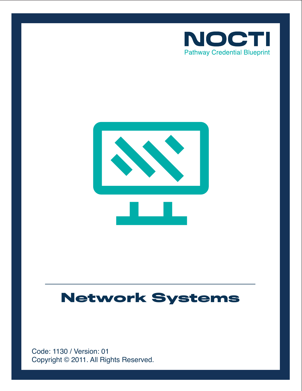



# **Network Systems**

Copyright © 2011. All Rights Reserved. Code: 1130 / Version: 01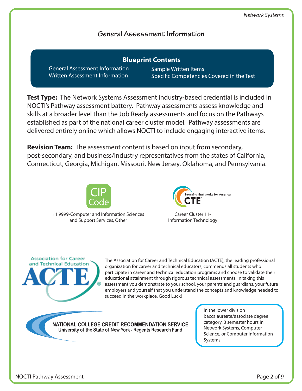# **General Assessment Information**

General Assessment Information Written Assessment Information **Blueprint Contents**

Sample Written Items Specific Competencies Covered in the Test

**Test Type:** The Network Systems Assessment industry-based credential is included in NOCTI's Pathway assessment battery. Pathway assessments assess knowledge and skills at a broader level than the Job Ready assessments and focus on the Pathways established as part of the national career cluster model. Pathway assessments are delivered entirely online which allows NOCTI to include engaging interactive items.

**Revision Team:** The assessment content is based on input from secondary, post-secondary, and business/industry representatives from the states of California, Connecticut, Georgia, Michigan, Missouri, New Jersey, Oklahoma, and Pennsylvania.



11.9999-Computer and Information Sciences and Support Services, Other



Career Cluster 11- Information Technology



The Association for Career and Technical Education (ACTE), the leading professional organization for career and technical educators, commends all students who participate in career and technical education programs and choose to validate their educational attainment through rigorous technical assessments. In taking this assessment you demonstrate to your school, your parents and guardians, your future employers and yourself that you understand the concepts and knowledge needed to succeed in the workplace. Good Luck!

NATIONAL COLLEGE CREDIT RECOMMENDATION SERVICE University of the State of New York - Regents Research Fund

In the lower division baccalaureate/associate degree category, 3 semester hours in Network Systems, Computer Science, or Computer Information Systems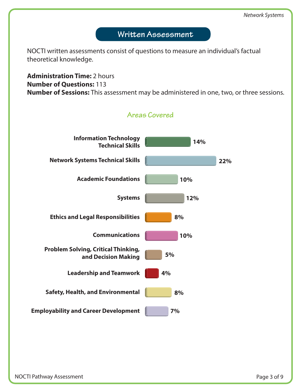# Written Assessment

NOCTI written assessments consist of questions to measure an individual's factual theoretical knowledge.

#### **Administration Time:** 2 hours **Number of Questions:** 113 **Number of Sessions:** This assessment may be administered in one, two, or three sessions.

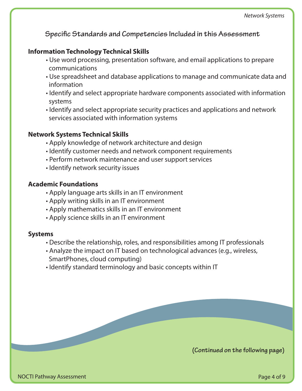**Specific Standards and Competencies Included in this Assessment** 

#### **Information Technology Technical Skills**

- Use word processing, presentation software, and email applications to prepare communications
- Use spreadsheet and database applications to manage and communicate data and information
- Identify and select appropriate hardware components associated with information systems
- Identify and select appropriate security practices and applications and network services associated with information systems

#### **Network Systems Technical Skills**

- Apply knowledge of network architecture and design
- Identify customer needs and network component requirements
- Perform network maintenance and user support services
- Identify network security issues

#### **Academic Foundations**

- Apply language arts skills in an IT environment
- Apply writing skills in an IT environment
- Apply mathematics skills in an IT environment
- Apply science skills in an IT environment

#### **Systems**

- Describe the relationship, roles, and responsibilities among IT professionals
- Analyze the impact on IT based on technological advances (e.g., wireless, SmartPhones, cloud computing)
- Identify standard terminology and basic concepts within IT

**(Continued on the following page)**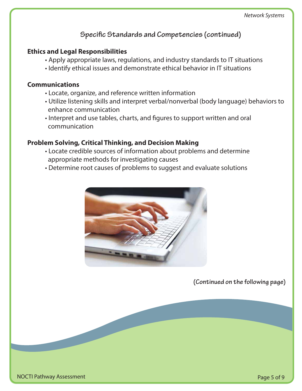# **Specific Standards and Competencies (continued)**

### **Ethics and Legal Responsibilities**

- Apply appropriate laws, regulations, and industry standards to IT situations
- Identify ethical issues and demonstrate ethical behavior in IT situations

#### **Communications**

- Locate, organize, and reference written information
- Utilize listening skills and interpret verbal/nonverbal (body language) behaviors to enhance communication
- Interpret and use tables, charts, and figures to support written and oral communication

# **Problem Solving, Critical Thinking, and Decision Making**

- Locate credible sources of information about problems and determine appropriate methods for investigating causes
- Determine root causes of problems to suggest and evaluate solutions



**(Continued on the following page)**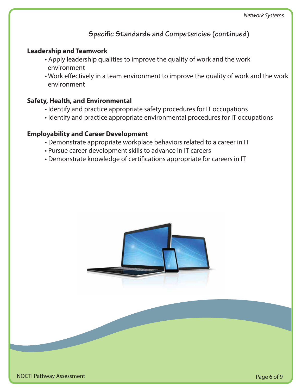**Specific Standards and Competencies (continued)** 

#### **Leadership and Teamwork**

- Apply leadership qualities to improve the quality of work and the work environment
- Work effectively in a team environment to improve the quality of work and the work environment

#### **Safety, Health, and Environmental**

- Identify and practice appropriate safety procedures for IT occupations
- Identify and practice appropriate environmental procedures for IT occupations

### **Employability and Career Development**

- Demonstrate appropriate workplace behaviors related to a career in IT
- Pursue career development skills to advance in IT careers
- Demonstrate knowledge of certifications appropriate for careers in IT

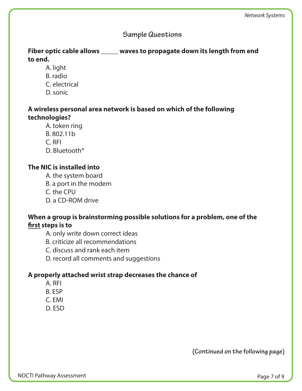### **Sample Questions**

### **Fiber optic cable allows \_\_\_\_\_ waves to propagate down its length from end to end.**

- A. light
- B. radio
- C. electrical
- D. sonic

#### **A wireless personal area network is based on which of the following technologies?**

- A. token ring
- B. 802.11b
- C. RFI
- D. Bluetooth®

# **The NIC is installed into**

- A. the system board
- B. a port in the modem
- C. the CPU
- D. a CD-ROM drive

# **When a group is brainstorming possible solutions for a problem, one of the**  first steps is to

- A. only write down correct ideas
- B. criticize all recommendations
- C. discuss and rank each item
- D. record all comments and suggestions

# **A properly attached wrist strap decreases the chance of**

- A. RFI
- B. ESP
- C. EMI
- D. ESD

**(Continued on the following page)**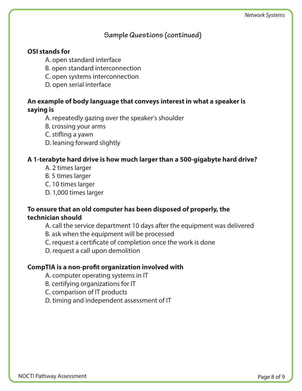# **Sample Questions (continued)**

#### **OSI stands for**

- A. open standard interface
- B. open standard interconnection
- C. open systems interconnection
- D. open serial interface

#### **An example of body language that conveys interest in what a speaker is saying is**

- A. repeatedly gazing over the speaker's shoulder
- B. crossing your arms
- C. stifling a yawn
- D. leaning forward slightly

#### **A 1-terabyte hard drive is how much larger than a 500-gigabyte hard drive?**

- A. 2 times larger
- B. 5 times larger
- C. 10 times larger
- D. 1,000 times larger

#### **To ensure that an old computer has been disposed of properly, the technician should**

- A. call the service department 10 days after the equipment was delivered
- B. ask when the equipment will be processed
- C. request a certificate of completion once the work is done
- D. request a call upon demolition

### **CompTIA is a non-profit organization involved with**

- A. computer operating systems in IT
- B. certifying organizations for IT
- C. comparison of IT products
- D. timing and independent assessment of IT